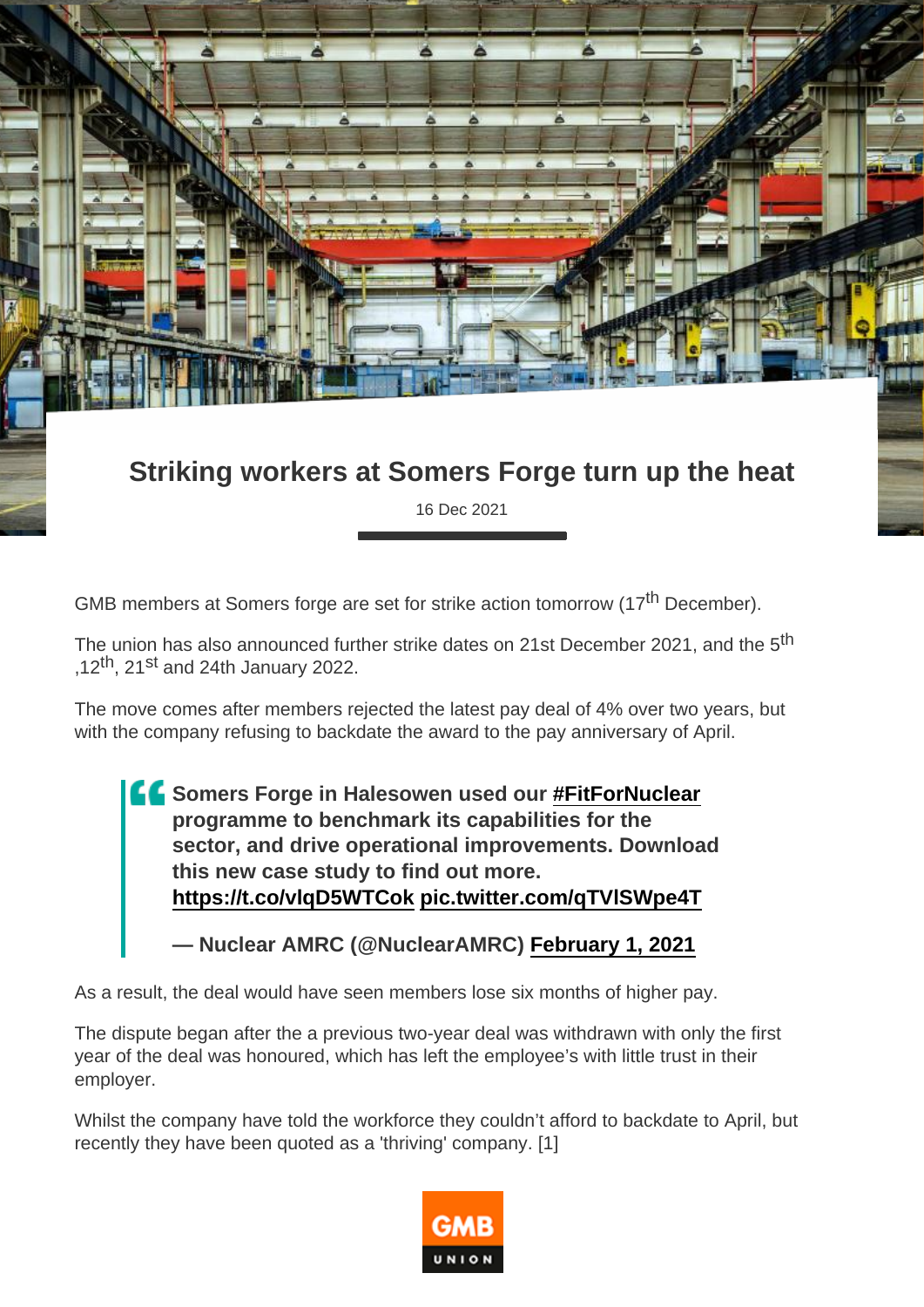## Striking workers at Somers Forge turn up the heat

16 Dec 2021

GMB members at Somers forge are set for strike action tomorrow (17<sup>th</sup> December).

The union has also announced further strike dates on 21st December 2021, and the 5<sup>th</sup> ,12<sup>th</sup>, 21<sup>st</sup> and 24th January 2022.

The move comes after members rejected the latest pay deal of 4% over two years, but with the company refusing to backdate the award to the pay anniversary of April.

> Somers Forge in Halesowen used our [#FitForNuclear](https://twitter.com/hashtag/FitForNuclear?src=hash&ref_src=twsrc^tfw) programme to benchmark its capabilities for the sector, and drive operational improvements. Download this new case study to find out more. <https://t.co/vlqD5WTCok> [pic.twitter.com/qTVlSWpe4T](https://t.co/qTVlSWpe4T)

— Nuclear AMRC (@NuclearAMRC) [February 1, 2021](https://twitter.com/NuclearAMRC/status/1356187806687760386?ref_src=twsrc^tfw)

As a result, the deal would have seen members lose six months of higher pay.

The dispute began after the a previous two-year deal was withdrawn with only the first year of the deal was honoured, which has left the employee's with little trust in their employer.

Whilst the company have told the workforce they couldn't afford to backdate to April, but recently they have been quoted as a 'thriving' company. [1]